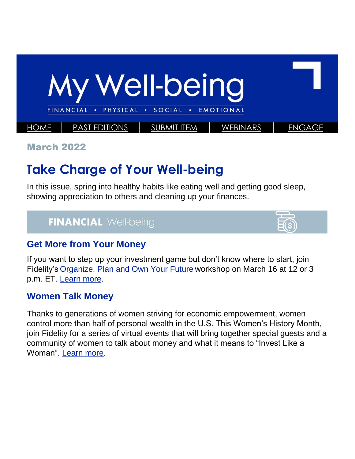

March 2022

# **Take Charge of Your Well-being**

In this issue, spring into healthy habits like eating well and getting good sleep, showing appreciation to others and cleaning up your finances.

### **FINANCIAL Well-being**



#### **Get More from Your Money**

If you want to step up your investment game but don't know where to start, join Fidelity's [Organize, Plan and Own Your Future](https://netbenefits.fidelity.com/NBLogin/?option=ledetail&Target=cours000000000023721) workshop on March 16 at 12 or 3 p.m. ET. [Learn more.](https://totalrewards.northropgrumman.com/article/116/get-more-from-your-money)

#### **Women Talk Money**

Thanks to generations of women striving for economic empowerment, women control more than half of personal wealth in the U.S. This Women's History Month, join Fidelity for a series of virtual events that will bring together special guests and a community of women to talk about money and what it means to "Invest Like a Woman". [Learn more.](https://totalrewards.northropgrumman.com/article/113/women-talk-money)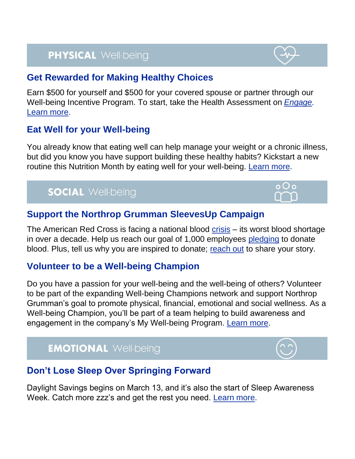# **PHYSICAL Well-being**

#### **Get Rewarded for Making Healthy Choices**

Earn \$500 for yourself and \$500 for your covered spouse or partner through our Well-being Incentive Program. To start, take the Health Assessment on *[Engage.](https://app.engage-wellbeing.com/v2/login)* [Learn more.](https://totalrewards.northropgrumman.com/article/112/well-being-incentive-program)

#### **Eat Well for your Well-being**

You already know that eating well can help manage your weight or a chronic illness, but did you know you have support building these healthy habits? Kickstart a new routine this Nutrition Month by eating well for your well-being. [Learn more.](https://totalrewards.northropgrumman.com/article/117/eat-well-for-your-well-being)

## **SOCIAL Well-being**

#### **Support the Northrop Grumman SleevesUp Campaign**

The American Red Cross is facing a national blood [crisis](https://www.redcrossblood.org/donate-blood/dlp/red-cross-national-blood-shortage-crisis.html) – its worst blood shortage in over a decade. Help us reach our goal of 1,000 employees [pledging](https://sleevesup.redcrossblood.org/campaign/northrop-grumman-sleevesup-campaign/) to donate blood. Plus, tell us why you are inspired to donate; [reach out](mailto:OneMagazine@ngc.com) to share your story.

#### **Volunteer to be a Well-being Champion**

Do you have a passion for your well-being and the well-being of others? Volunteer to be part of the expanding Well-being Champions network and support Northrop Grumman's goal to promote physical, financial, emotional and social wellness. As a Well-being Champion, you'll be part of a team helping to build awareness and engagement in the company's My Well-being Program. [Learn more.](https://totalrewards.northropgrumman.com/article/111/well-being-champions)

# **EMOTIONAL Well-being**



 $o$ Oo

#### **Don't Lose Sleep Over Springing Forward**

Daylight Savings begins on March 13, and it's also the start of Sleep Awareness Week. Catch more zzz's and get the rest you need. [Learn more.](https://totalrewards.northropgrumman.com/article/114/dont-lose-sleep-over-spring-forward)